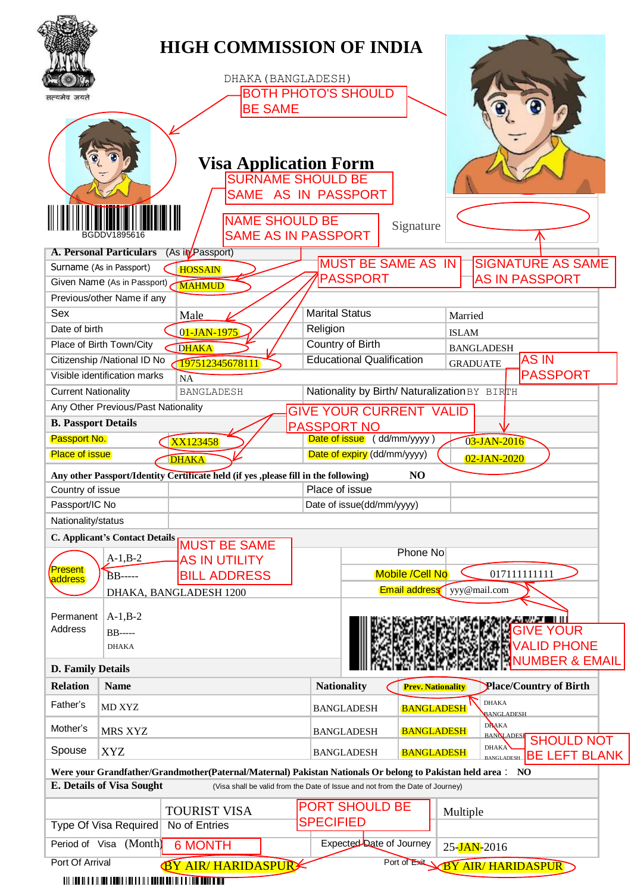|                            |                                              |                                            |                                                                                     | <b>HIGH COMMISSION OF INDIA</b>                                                                             |                          |                                   |                                                                |
|----------------------------|----------------------------------------------|--------------------------------------------|-------------------------------------------------------------------------------------|-------------------------------------------------------------------------------------------------------------|--------------------------|-----------------------------------|----------------------------------------------------------------|
|                            |                                              |                                            | DHAKA (BANGLADESH)                                                                  |                                                                                                             |                          |                                   |                                                                |
|                            |                                              |                                            |                                                                                     | <b>BOTH PHOTO'S SHOULD</b>                                                                                  |                          |                                   |                                                                |
| सत्यमेव जयते               |                                              |                                            | <b>BE SAME</b>                                                                      |                                                                                                             |                          |                                   |                                                                |
|                            |                                              |                                            | <b>NAME SHOULD BE</b><br><b>SAME AS IN PASSPORT</b>                                 | <b>Visa Application Form</b><br><b>SURNAME SHOULD BE</b><br>SAME AS IN PASSPORT                             | Signature                |                                   |                                                                |
|                            | <b>A. Personal Particulars</b>               | (As in Passport)                           |                                                                                     |                                                                                                             |                          |                                   |                                                                |
| Surname (As in Passport)   |                                              |                                            |                                                                                     | <b>MUST BE SAME AS IN</b>                                                                                   |                          |                                   | <b>SIGNATURE AS SAME</b>                                       |
|                            | Given Name (As in Passport)                  | <b>HOSSAIN</b>                             |                                                                                     | <b>PASSPORT</b>                                                                                             |                          |                                   | <b>AS IN PASSPORT</b>                                          |
|                            | Previous/other Name if any                   | <b>MAHMUD</b>                              |                                                                                     |                                                                                                             |                          |                                   |                                                                |
| Sex                        |                                              |                                            |                                                                                     | <b>Marital Status</b>                                                                                       |                          |                                   |                                                                |
| Date of birth              |                                              | Male                                       |                                                                                     | Religion                                                                                                    |                          | Married                           |                                                                |
|                            |                                              | 01-JAN-1975                                |                                                                                     |                                                                                                             |                          | <b>ISLAM</b>                      |                                                                |
| Place of Birth Town/City   |                                              | <b>DHAKA</b>                               |                                                                                     | Country of Birth<br><b>Educational Qualification</b>                                                        |                          | <b>BANGLADESH</b>                 | <b>ASIN</b>                                                    |
|                            | Citizenship / National ID No                 | 197512345678111                            |                                                                                     |                                                                                                             |                          | <b>GRADUATE</b>                   |                                                                |
|                            | Visible identification marks                 | <b>NA</b>                                  |                                                                                     |                                                                                                             |                          |                                   | <b>PASSPORT</b>                                                |
| <b>Current Nationality</b> |                                              | <b>BANGLADESH</b>                          |                                                                                     | Nationality by Birth/ Naturalization BY BIRTH                                                               |                          |                                   |                                                                |
|                            | Any Other Previous/Past Nationality          |                                            |                                                                                     | <b>GIVE YOUR CURRENT VALID</b>                                                                              |                          |                                   |                                                                |
| <b>B. Passport Details</b> |                                              |                                            |                                                                                     | <b>PASSPORT NO</b>                                                                                          |                          |                                   |                                                                |
| Passport No.               |                                              | XX123458                                   |                                                                                     | Date of issue (dd/mm/yyyy)                                                                                  |                          | 03-JAN-2016                       |                                                                |
| <b>Place of issue</b>      |                                              | <b>DHAKA</b>                               |                                                                                     | Date of expiry (dd/mm/yyyy)                                                                                 |                          | $02$ -JAN-2020                    |                                                                |
|                            |                                              |                                            | Any other Passport/Identity Certificate held (if yes ,please fill in the following) |                                                                                                             | N <sub>O</sub>           |                                   |                                                                |
|                            |                                              |                                            |                                                                                     |                                                                                                             |                          |                                   |                                                                |
| Country of issue           |                                              |                                            |                                                                                     | Place of issue                                                                                              |                          |                                   |                                                                |
| Passport/IC No             |                                              |                                            |                                                                                     | Date of issue(dd/mm/yyyy)                                                                                   |                          |                                   |                                                                |
| Nationality/status         |                                              |                                            |                                                                                     |                                                                                                             |                          |                                   |                                                                |
|                            | <b>C. Applicant's Contact Details</b>        |                                            |                                                                                     |                                                                                                             |                          |                                   |                                                                |
|                            |                                              | <b>MUST BE SAME</b>                        |                                                                                     |                                                                                                             | Phone No                 |                                   |                                                                |
| <b>Present</b>             | $A-1,B-2$                                    | <b>AS IN UTILITY</b>                       |                                                                                     |                                                                                                             |                          |                                   |                                                                |
| address                    | <b>BB</b> -----                              | <b>BILL ADDRESS</b>                        |                                                                                     |                                                                                                             | <b>Mobile /Cell No</b>   |                                   | 017111111111                                                   |
|                            |                                              | DHAKA, BANGLADESH 1200                     |                                                                                     |                                                                                                             |                          | <b>Email address</b> yyy@mail.com |                                                                |
| Permanent<br>Address       | $A-1,B-2$<br><b>BB</b> -----<br><b>DHAKA</b> |                                            |                                                                                     |                                                                                                             |                          |                                   | OUR<br><b>PHONE</b>                                            |
| <b>D. Family Details</b>   |                                              |                                            |                                                                                     |                                                                                                             |                          |                                   | <b>NUMBER &amp; EMAIL</b>                                      |
| <b>Relation</b>            | <b>Name</b>                                  |                                            |                                                                                     |                                                                                                             | <b>Prev. Nationality</b> |                                   |                                                                |
| Father's                   | MD XYZ                                       |                                            |                                                                                     | <b>Nationality</b><br><b>BANGLADESH</b>                                                                     | <b>BANGLADESH</b>        | <b>DHAKA</b>                      | Place/Country of Birth<br>BANGLADESH                           |
| Mother's                   | <b>MRS XYZ</b>                               |                                            |                                                                                     | <b>BANGLADESH</b>                                                                                           | <b>BANGLADESH</b>        | <b>DHAKA</b>                      |                                                                |
| Spouse                     | <b>XYZ</b>                                   |                                            |                                                                                     | <b>BANGLADESH</b>                                                                                           | <b>BANGLADESH</b>        | <b>DHAKA</b><br><b>BANGLADESH</b> | <b>BANOLADESE</b><br><b>SHOULD NOT</b><br><b>BE LEFT BLANK</b> |
|                            |                                              |                                            |                                                                                     | Were your Grandfather/Grandmother(Paternal/Maternal) Pakistan Nationals Or belong to Pakistan held area: NO |                          |                                   |                                                                |
|                            | <b>E. Details of Visa Sought</b>             |                                            |                                                                                     | (Visa shall be valid from the Date of Issue and not from the Date of Journey)                               |                          |                                   |                                                                |
|                            |                                              |                                            |                                                                                     | <b>PORT SHOULD BE</b>                                                                                       |                          |                                   |                                                                |
|                            |                                              | <b>TOURIST VISA</b>                        |                                                                                     | <b>SPECIFIED</b>                                                                                            |                          | Multiple                          |                                                                |
|                            | <b>Type Of Visa Required</b>                 | No of Entries                              |                                                                                     |                                                                                                             |                          |                                   |                                                                |
| Port Of Arrival            | Period of Visa (Month)                       | <b>6 MONTH</b><br><b>BY AIR HARIDASPUR</b> |                                                                                     | Expected Date of Journey                                                                                    | Port of Exit             | 25-JAN-2016                       | <b>BY AIR/HARIDASPUR</b>                                       |